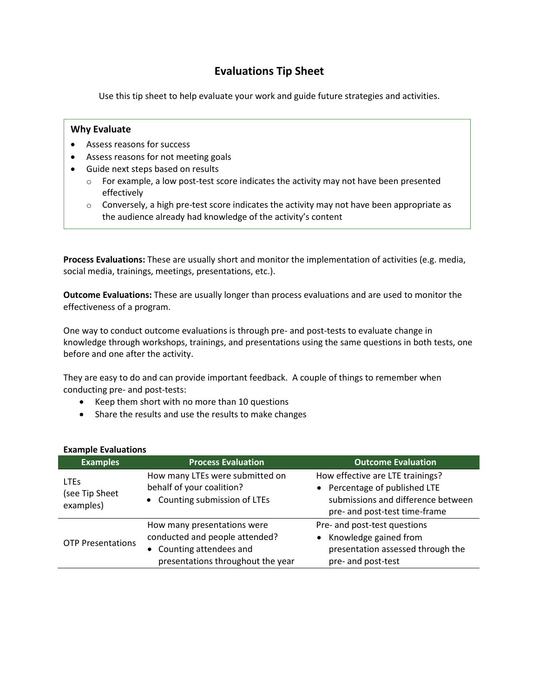# **Evaluations Tip Sheet**

Use this tip sheet to help evaluate your work and guide future strategies and activities.

# **Why Evaluate**

- Assess reasons for success
- Assess reasons for not meeting goals
- Guide next steps based on results
	- $\circ$  For example, a low post-test score indicates the activity may not have been presented effectively
	- $\circ$  Conversely, a high pre-test score indicates the activity may not have been appropriate as the audience already had knowledge of the activity's content

**Process Evaluations:** These are usually short and monitor the implementation of activities (e.g. media, social media, trainings, meetings, presentations, etc.).

**Outcome Evaluations:** These are usually longer than process evaluations and are used to monitor the effectiveness of a program.

One way to conduct outcome evaluations is through pre- and post-tests to evaluate change in knowledge through workshops, trainings, and presentations using the same questions in both tests, one before and one after the activity.

They are easy to do and can provide important feedback. A couple of things to remember when conducting pre- and post-tests:

- Keep them short with no more than 10 questions
- Share the results and use the results to make changes

| $-$                                                   |                                                                                                                                |                                                                                                                                          |
|-------------------------------------------------------|--------------------------------------------------------------------------------------------------------------------------------|------------------------------------------------------------------------------------------------------------------------------------------|
| <b>Examples</b>                                       | <b>Process Evaluation</b>                                                                                                      | <b>Outcome Evaluation</b>                                                                                                                |
| <b>LTE<sub>S</sub></b><br>(see Tip Sheet<br>examples) | How many LTEs were submitted on<br>behalf of your coalition?<br>• Counting submission of LTEs                                  | How effective are LTE trainings?<br>• Percentage of published LTE<br>submissions and difference between<br>pre- and post-test time-frame |
| <b>OTP Presentations</b>                              | How many presentations were<br>conducted and people attended?<br>• Counting attendees and<br>presentations throughout the year | Pre- and post-test questions<br>Knowledge gained from<br>presentation assessed through the<br>pre- and post-test                         |

# **Example Evaluations**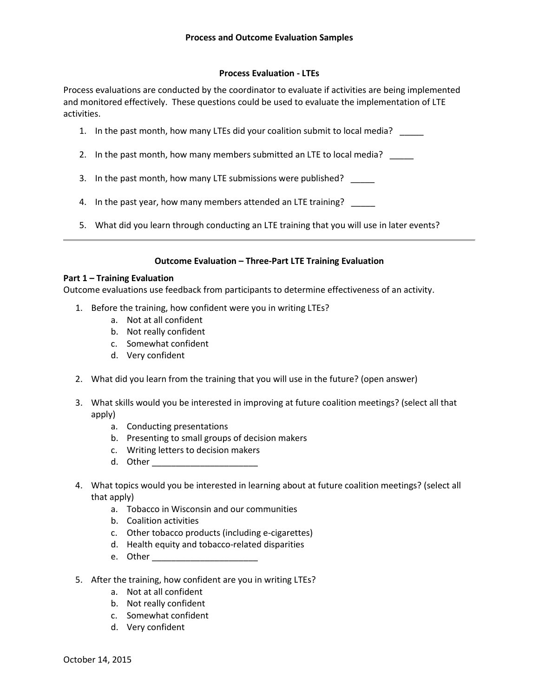### **Process Evaluation - LTEs**

Process evaluations are conducted by the coordinator to evaluate if activities are being implemented and monitored effectively. These questions could be used to evaluate the implementation of LTE activities.

- 1. In the past month, how many LTEs did your coalition submit to local media? \_\_\_\_\_
- 2. In the past month, how many members submitted an LTE to local media?
- 3. In the past month, how many LTE submissions were published? \_\_\_\_\_
- 4. In the past year, how many members attended an LTE training? \_\_\_\_\_
- 5. What did you learn through conducting an LTE training that you will use in later events?

# **Outcome Evaluation – Three-Part LTE Training Evaluation**

#### **Part 1 – Training Evaluation**

Outcome evaluations use feedback from participants to determine effectiveness of an activity.

- 1. Before the training, how confident were you in writing LTEs?
	- a. Not at all confident
	- b. Not really confident
	- c. Somewhat confident
	- d. Very confident
- 2. What did you learn from the training that you will use in the future? (open answer)
- 3. What skills would you be interested in improving at future coalition meetings? (select all that apply)
	- a. Conducting presentations
	- b. Presenting to small groups of decision makers
	- c. Writing letters to decision makers
	- d. Other \_\_\_\_\_\_\_\_\_\_\_\_\_\_\_\_\_\_\_\_\_\_
- 4. What topics would you be interested in learning about at future coalition meetings? (select all that apply)
	- a. Tobacco in Wisconsin and our communities
	- b. Coalition activities
	- c. Other tobacco products (including e-cigarettes)
	- d. Health equity and tobacco-related disparities
	- e. Other \_\_\_\_\_\_\_\_\_\_\_\_\_\_\_\_\_\_\_\_\_\_
- 5. After the training, how confident are you in writing LTEs?
	- a. Not at all confident
	- b. Not really confident
	- c. Somewhat confident
	- d. Very confident